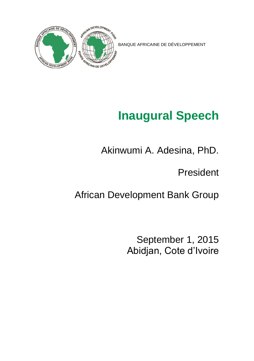

BANQUE AFRICAINE DE DÉVELOPPEMENT

## **Inaugural Speech**

Akinwumi A. Adesina, PhD.

President

African Development Bank Group

September 1, 2015 Abidjan, Cote d'Ivoire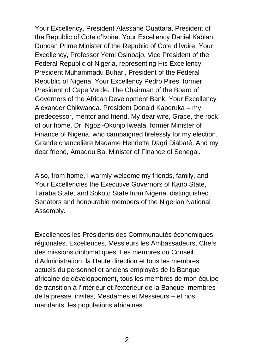Your Excellency, President Alassane Ouattara, President of the Republic of Cote d'Ivoire. Your Excellency Daniel Kablan Duncan Prime Minister of the Republic of Cote d'Ivoire. Your Excellency, Professor Yemi Osinbajo, Vice President of the Federal Republic of Nigeria, representing His Excellency, President Muhammadu Buhari, President of the Federal Republic of Nigeria. Your Excellency Pedro Pires, former President of Cape Verde. The Chairman of the Board of Governors of the African Development Bank, Your Excellency Alexander Chikwanda. President Donald Kaberuka – my predecessor, mentor and friend. My dear wife, Grace, the rock of our home. Dr. Ngozi-Okonjo Iweala, former Minister of Finance of Nigeria, who campaigned tirelessly for my election. Grande chancelière Madame Henriette Dagri Diabaté. And my dear friend, Amadou Ba, Minister of Finance of Senegal.

Also, from home, I warmly welcome my friends, family, and Your Excellencies the Executive Governors of Kano State, Taraba State, and Sokoto State from Nigeria, distinguished Senators and honourable members of the Nigerian National Assembly.

Excellences les Présidents des Communautés économiques régionales. Excellences, Messieurs les Ambassadeurs, Chefs des missions diplomatiques. Les membres du Conseil d'Administration, la Haute direction et tous les membres actuels du personnel et anciens employés de la Banque africaine de développement, tous les membres de mon équipe de transition à l'intérieur et l'extérieur de la Banque, membres de la presse, invités, Mesdames et Messieurs – et nos mandants, les populations africaines.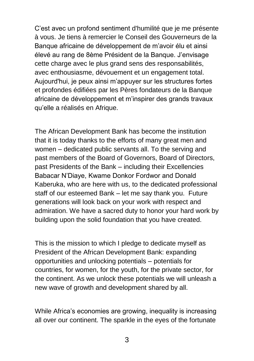C'est avec un profond sentiment d'humilité que je me présente à vous. Je tiens à remercier le Conseil des Gouverneurs de la Banque africaine de développement de m'avoir élu et ainsi élevé au rang de 8ème Président de la Banque. J'envisage cette charge avec le plus grand sens des responsabilités, avec enthousiasme, dévouement et un engagement total. Aujourd'hui, je peux ainsi m'appuyer sur les structures fortes et profondes édifiées par les Pères fondateurs de la Banque africaine de développement et m'inspirer des grands travaux qu'elle a réalisés en Afrique.

The African Development Bank has become the institution that it is today thanks to the efforts of many great men and women – dedicated public servants all. To the serving and past members of the Board of Governors, Board of Directors, past Presidents of the Bank – including their Excellencies Babacar N'Diaye, Kwame Donkor Fordwor and Donald Kaberuka, who are here with us, to the dedicated professional staff of our esteemed Bank – let me say thank you. Future generations will look back on your work with respect and admiration. We have a sacred duty to honor your hard work by building upon the solid foundation that you have created.

This is the mission to which I pledge to dedicate myself as President of the African Development Bank: expanding opportunities and unlocking potentials – potentials for countries, for women, for the youth, for the private sector, for the continent. As we unlock these potentials we will unleash a new wave of growth and development shared by all.

While Africa's economies are growing, inequality is increasing all over our continent. The sparkle in the eyes of the fortunate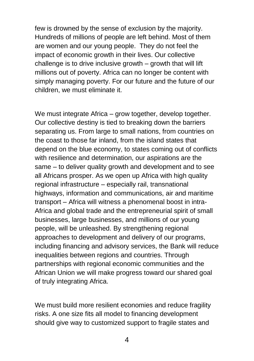few is drowned by the sense of exclusion by the majority. Hundreds of millions of people are left behind. Most of them are women and our young people. They do not feel the impact of economic growth in their lives. Our collective challenge is to drive inclusive growth – growth that will lift millions out of poverty. Africa can no longer be content with simply managing poverty. For our future and the future of our children, we must eliminate it.

We must integrate Africa – grow together, develop together. Our collective destiny is tied to breaking down the barriers separating us. From large to small nations, from countries on the coast to those far inland, from the island states that depend on the blue economy, to states coming out of conflicts with resilience and determination, our aspirations are the same – to deliver quality growth and development and to see all Africans prosper. As we open up Africa with high quality regional infrastructure – especially rail, transnational highways, information and communications, air and maritime transport – Africa will witness a phenomenal boost in intra-Africa and global trade and the entrepreneurial spirit of small businesses, large businesses, and millions of our young people, will be unleashed. By strengthening regional approaches to development and delivery of our programs, including financing and advisory services, the Bank will reduce inequalities between regions and countries. Through partnerships with regional economic communities and the African Union we will make progress toward our shared goal of truly integrating Africa.

We must build more resilient economies and reduce fragility risks. A one size fits all model to financing development should give way to customized support to fragile states and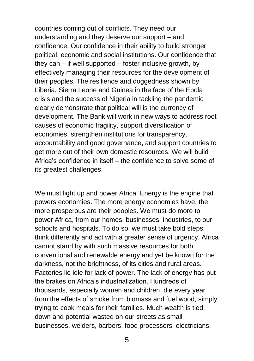countries coming out of conflicts. They need our understanding and they deserve our support – and confidence. Our confidence in their ability to build stronger political, economic and social institutions. Our confidence that they can – if well supported – foster inclusive growth, by effectively managing their resources for the development of their peoples. The resilience and doggedness shown by Liberia, Sierra Leone and Guinea in the face of the Ebola crisis and the success of Nigeria in tackling the pandemic clearly demonstrate that political will is the currency of development. The Bank will work in new ways to address root causes of economic fragility, support diversification of economies, strengthen institutions for transparency, accountability and good governance, and support countries to get more out of their own domestic resources. We will build Africa's confidence in itself – the confidence to solve some of its greatest challenges.

We must light up and power Africa. Energy is the engine that powers economies. The more energy economies have, the more prosperous are their peoples. We must do more to power Africa, from our homes, businesses, industries, to our schools and hospitals. To do so, we must take bold steps, think differently and act with a greater sense of urgency. Africa cannot stand by with such massive resources for both conventional and renewable energy and yet be known for the darkness, not the brightness, of its cities and rural areas. Factories lie idle for lack of power. The lack of energy has put the brakes on Africa's industrialization. Hundreds of thousands, especially women and children, die every year from the effects of smoke from biomass and fuel wood, simply trying to cook meals for their families. Much wealth is tied down and potential wasted on our streets as small businesses, welders, barbers, food processors, electricians,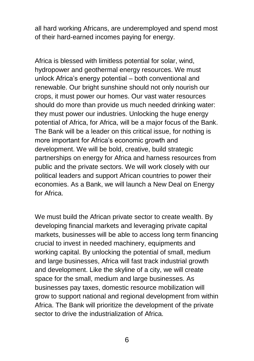all hard working Africans, are underemployed and spend most of their hard-earned incomes paying for energy.

Africa is blessed with limitless potential for solar, wind, hydropower and geothermal energy resources. We must unlock Africa's energy potential – both conventional and renewable. Our bright sunshine should not only nourish our crops, it must power our homes. Our vast water resources should do more than provide us much needed drinking water: they must power our industries. Unlocking the huge energy potential of Africa, for Africa, will be a major focus of the Bank. The Bank will be a leader on this critical issue, for nothing is more important for Africa's economic growth and development. We will be bold, creative, build strategic partnerships on energy for Africa and harness resources from public and the private sectors. We will work closely with our political leaders and support African countries to power their economies. As a Bank, we will launch a New Deal on Energy for Africa.

We must build the African private sector to create wealth. By developing financial markets and leveraging private capital markets, businesses will be able to access long term financing crucial to invest in needed machinery, equipments and working capital. By unlocking the potential of small, medium and large businesses, Africa will fast track industrial growth and development. Like the skyline of a city, we will create space for the small, medium and large businesses. As businesses pay taxes, domestic resource mobilization will grow to support national and regional development from within Africa. The Bank will prioritize the development of the private sector to drive the industrialization of Africa.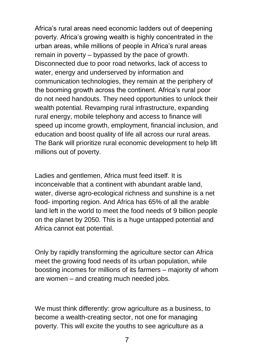Africa's rural areas need economic ladders out of deepening poverty. Africa's growing wealth is highly concentrated in the urban areas, while millions of people in Africa's rural areas remain in poverty – bypassed by the pace of growth. Disconnected due to poor road networks, lack of access to water, energy and underserved by information and communication technologies, they remain at the periphery of the booming growth across the continent. Africa's rural poor do not need handouts. They need opportunities to unlock their wealth potential. Revamping rural infrastructure, expanding rural energy, mobile telephony and access to finance will speed up income growth, employment, financial inclusion, and education and boost quality of life all across our rural areas. The Bank will prioritize rural economic development to help lift millions out of poverty.

Ladies and gentlemen, Africa must feed itself. It is inconceivable that a continent with abundant arable land, water, diverse agro-ecological richness and sunshine is a net food- importing region. And Africa has 65% of all the arable land left in the world to meet the food needs of 9 billion people on the planet by 2050. This is a huge untapped potential and Africa cannot eat potential.

Only by rapidly transforming the agriculture sector can Africa meet the growing food needs of its urban population, while boosting incomes for millions of its farmers – majority of whom are women – and creating much needed jobs.

We must think differently: grow agriculture as a business, to become a wealth-creating sector, not one for managing poverty. This will excite the youths to see agriculture as a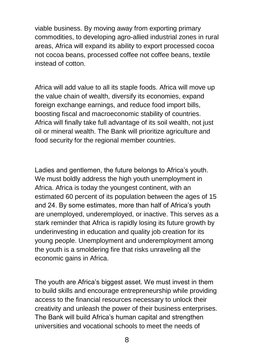viable business. By moving away from exporting primary commodities, to developing agro-allied industrial zones in rural areas, Africa will expand its ability to export processed cocoa not cocoa beans, processed coffee not coffee beans, textile instead of cotton.

Africa will add value to all its staple foods. Africa will move up the value chain of wealth, diversify its economies, expand foreign exchange earnings, and reduce food import bills, boosting fiscal and macroeconomic stability of countries. Africa will finally take full advantage of its soil wealth, not just oil or mineral wealth. The Bank will prioritize agriculture and food security for the regional member countries.

Ladies and gentlemen, the future belongs to Africa's youth. We must boldly address the high youth unemployment in Africa. Africa is today the youngest continent, with an estimated 60 percent of its population between the ages of 15 and 24. By some estimates, more than half of Africa's youth are unemployed, underemployed, or inactive. This serves as a stark reminder that Africa is rapidly losing its future growth by underinvesting in education and quality job creation for its young people. Unemployment and underemployment among the youth is a smoldering fire that risks unraveling all the economic gains in Africa.

The youth are Africa's biggest asset. We must invest in them to build skills and encourage entrepreneurship while providing access to the financial resources necessary to unlock their creativity and unleash the power of their business enterprises. The Bank will build Africa's human capital and strengthen universities and vocational schools to meet the needs of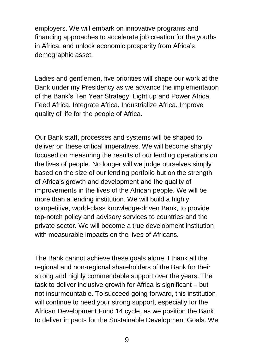employers. We will embark on innovative programs and financing approaches to accelerate job creation for the youths in Africa, and unlock economic prosperity from Africa's demographic asset.

Ladies and gentlemen, five priorities will shape our work at the Bank under my Presidency as we advance the implementation of the Bank's Ten Year Strategy: Light up and Power Africa. Feed Africa. Integrate Africa. Industrialize Africa. Improve quality of life for the people of Africa.

Our Bank staff, processes and systems will be shaped to deliver on these critical imperatives. We will become sharply focused on measuring the results of our lending operations on the lives of people. No longer will we judge ourselves simply based on the size of our lending portfolio but on the strength of Africa's growth and development and the quality of improvements in the lives of the African people. We will be more than a lending institution. We will build a highly competitive, world-class knowledge-driven Bank, to provide top-notch policy and advisory services to countries and the private sector. We will become a true development institution with measurable impacts on the lives of Africans.

The Bank cannot achieve these goals alone. I thank all the regional and non-regional shareholders of the Bank for their strong and highly commendable support over the years. The task to deliver inclusive growth for Africa is significant – but not insurmountable. To succeed going forward, this institution will continue to need your strong support, especially for the African Development Fund 14 cycle, as we position the Bank to deliver impacts for the Sustainable Development Goals. We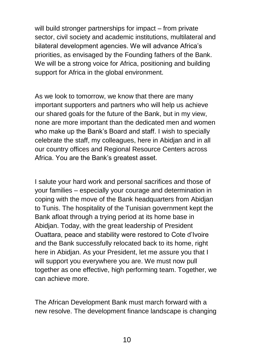will build stronger partnerships for impact – from private sector, civil society and academic institutions, multilateral and bilateral development agencies. We will advance Africa's priorities, as envisaged by the Founding fathers of the Bank. We will be a strong voice for Africa, positioning and building support for Africa in the global environment.

As we look to tomorrow, we know that there are many important supporters and partners who will help us achieve our shared goals for the future of the Bank, but in my view, none are more important than the dedicated men and women who make up the Bank's Board and staff. I wish to specially celebrate the staff, my colleagues, here in Abidjan and in all our country offices and Regional Resource Centers across Africa. You are the Bank's greatest asset.

I salute your hard work and personal sacrifices and those of your families – especially your courage and determination in coping with the move of the Bank headquarters from Abidjan to Tunis. The hospitality of the Tunisian government kept the Bank afloat through a trying period at its home base in Abidjan. Today, with the great leadership of President Ouattara, peace and stability were restored to Cote d'Ivoire and the Bank successfully relocated back to its home, right here in Abidjan. As your President, let me assure you that I will support you everywhere you are. We must now pull together as one effective, high performing team. Together, we can achieve more.

The African Development Bank must march forward with a new resolve. The development finance landscape is changing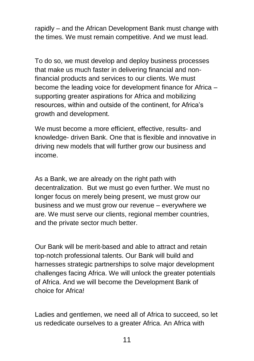rapidly – and the African Development Bank must change with the times. We must remain competitive. And we must lead.

To do so, we must develop and deploy business processes that make us much faster in delivering financial and nonfinancial products and services to our clients. We must become the leading voice for development finance for Africa – supporting greater aspirations for Africa and mobilizing resources, within and outside of the continent, for Africa's growth and development.

We must become a more efficient, effective, results- and knowledge- driven Bank. One that is flexible and innovative in driving new models that will further grow our business and income.

As a Bank, we are already on the right path with decentralization. But we must go even further. We must no longer focus on merely being present, we must grow our business and we must grow our revenue – everywhere we are. We must serve our clients, regional member countries, and the private sector much better.

Our Bank will be merit-based and able to attract and retain top-notch professional talents. Our Bank will build and harnesses strategic partnerships to solve major development challenges facing Africa. We will unlock the greater potentials of Africa. And we will become the Development Bank of choice for Africa!

Ladies and gentlemen, we need all of Africa to succeed, so let us rededicate ourselves to a greater Africa. An Africa with